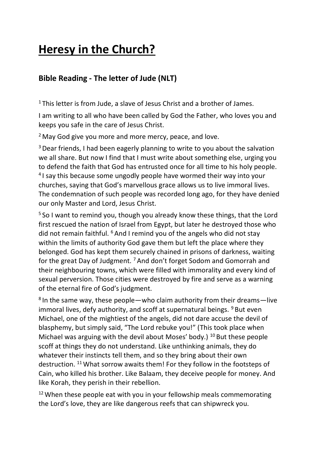# **Heresy in the Church?**

# **Bible Reading - The letter of Jude (NLT)**

<sup>1</sup> This letter is from Jude, a slave of Jesus Christ and a brother of James.

I am writing to all who have been called by God the Father, who loves you and keeps you safe in the care of Jesus Christ.

<sup>2</sup> May God give you more and more mercy, peace, and love.

<sup>3</sup> Dear friends, I had been eagerly planning to write to you about the salvation we all share. But now I find that I must write about something else, urging you to defend the faith that God has entrusted once for all time to his holy people. <sup>4</sup>I say this because some ungodly people have wormed their way into your churches, saying that God's marvellous grace allows us to live immoral lives. The condemnation of such people was recorded long ago, for they have denied our only Master and Lord, Jesus Christ.

<sup>5</sup> So I want to remind you, though you already know these things, that the Lord first rescued the nation of Israel from Egypt, but later he destroyed those who did not remain faithful.  $6$  And I remind you of the angels who did not stay within the limits of authority God gave them but left the place where they belonged. God has kept them securely chained in prisons of darkness, waiting for the great Day of Judgment. <sup>7</sup> And don't forget Sodom and Gomorrah and their neighbouring towns, which were filled with immorality and every kind of sexual perversion. Those cities were destroyed by fire and serve as a warning of the eternal fire of God's judgment.

<sup>8</sup> In the same way, these people—who claim authority from their dreams—live immoral lives, defy authority, and scoff at supernatural beings.  $9$  But even Michael, one of the mightiest of the angels, did not dare accuse the devil of blasphemy, but simply said, "The Lord rebuke you!" (This took place when Michael was arguing with the devil about Moses' body.) <sup>10</sup> But these people scoff at things they do not understand. Like unthinking animals, they do whatever their instincts tell them, and so they bring about their own destruction. <sup>11</sup> What sorrow awaits them! For they follow in the footsteps of Cain, who killed his brother. Like Balaam, they deceive people for money. And like Korah, they perish in their rebellion.

 $12$  When these people eat with you in your fellowship meals commemorating the Lord's love, they are like dangerous reefs that can shipwreck you.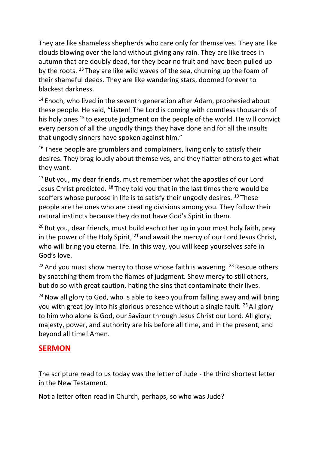They are like shameless shepherds who care only for themselves. They are like clouds blowing over the land without giving any rain. They are like trees in autumn that are doubly dead, for they bear no fruit and have been pulled up by the roots. <sup>13</sup> They are like wild waves of the sea, churning up the foam of their shameful deeds. They are like wandering stars, doomed forever to blackest darkness.

 $14$  Enoch, who lived in the seventh generation after Adam, prophesied about these people. He said, "Listen! The Lord is coming with countless thousands of his holy ones <sup>15</sup> to execute judgment on the people of the world. He will convict every person of all the ungodly things they have done and for all the insults that ungodly sinners have spoken against him."

 $16$  These people are grumblers and complainers, living only to satisfy their desires. They brag loudly about themselves, and they flatter others to get what they want.

<sup>17</sup> But you, my dear friends, must remember what the apostles of our Lord Jesus Christ predicted. <sup>18</sup> They told you that in the last times there would be scoffers whose purpose in life is to satisfy their ungodly desires. <sup>19</sup> These people are the ones who are creating divisions among you. They follow their natural instincts because they do not have God's Spirit in them.

 $20$  But you, dear friends, must build each other up in your most holy faith, pray in the power of the Holy Spirit,  $^{21}$  and await the mercy of our Lord Jesus Christ, who will bring you eternal life. In this way, you will keep yourselves safe in God's love.

<sup>22</sup> And you must show mercy to those whose faith is wavering. <sup>23</sup> Rescue others by snatching them from the flames of judgment. Show mercy to still others, but do so with great caution, hating the sins that contaminate their lives.

 $24$  Now all glory to God, who is able to keep you from falling away and will bring you with great joy into his glorious presence without a single fault. <sup>25</sup> All glory to him who alone is God, our Saviour through Jesus Christ our Lord. All glory, majesty, power, and authority are his before all time, and in the present, and beyond all time! Amen.

#### **SERMON**

The scripture read to us today was the letter of Jude - the third shortest letter in the New Testament.

Not a letter often read in Church, perhaps, so who was Jude?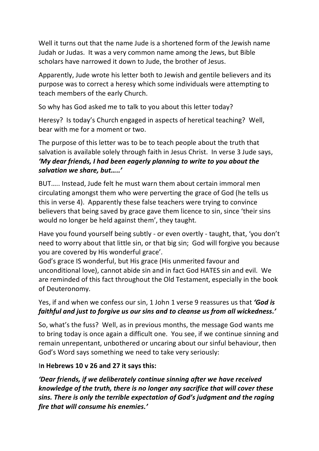Well it turns out that the name Jude is a shortened form of the Jewish name Judah or Judas. It was a very common name among the Jews, but Bible scholars have narrowed it down to Jude, the brother of Jesus.

Apparently, Jude wrote his letter both to Jewish and gentile believers and its purpose was to correct a heresy which some individuals were attempting to teach members of the early Church.

So why has God asked me to talk to you about this letter today?

Heresy? Is today's Church engaged in aspects of heretical teaching? Well, bear with me for a moment or two.

The purpose of this letter was to be to teach people about the truth that salvation is available solely through faith in Jesus Christ. In verse 3 Jude says, *'My dear friends, I had been eagerly planning to write to you about the salvation we share, but…..'*

BUT….. Instead, Jude felt he must warn them about certain immoral men circulating amongst them who were perverting the grace of God (he tells us this in verse 4). Apparently these false teachers were trying to convince believers that being saved by grace gave them licence to sin, since 'their sins would no longer be held against them', they taught.

Have you found yourself being subtly - or even overtly - taught, that, 'you don't need to worry about that little sin, or that big sin; God will forgive you because you are covered by His wonderful grace'.

God's grace IS wonderful, but His grace (His unmerited favour and unconditional love), cannot abide sin and in fact God HATES sin and evil. We are reminded of this fact throughout the Old Testament, especially in the book of Deuteronomy.

Yes, if and when we confess our sin, 1 John 1 verse 9 reassures us that *'God is faithful and just to forgive us our sins and to cleanse us from all wickedness.'*

So, what's the fuss? Well, as in previous months, the message God wants me to bring today is once again a difficult one. You see, if we continue sinning and remain unrepentant, unbothered or uncaring about our sinful behaviour, then God's Word says something we need to take very seriously:

#### I**n Hebrews 10 v 26 and 27 it says this:**

*'Dear friends, if we deliberately continue sinning after we have received knowledge of the truth, there is no longer any sacrifice that will cover these sins. There is only the terrible expectation of God's judgment and the raging fire that will consume his enemies.'*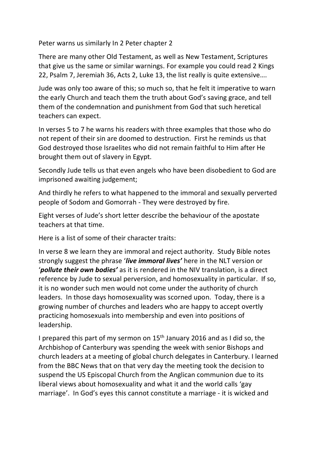Peter warns us similarly In 2 Peter chapter 2

There are many other Old Testament, as well as New Testament, Scriptures that give us the same or similar warnings. For example you could read 2 Kings 22, Psalm 7, Jeremiah 36, Acts 2, Luke 13, the list really is quite extensive….

Jude was only too aware of this; so much so, that he felt it imperative to warn the early Church and teach them the truth about God's saving grace, and tell them of the condemnation and punishment from God that such heretical teachers can expect.

In verses 5 to 7 he warns his readers with three examples that those who do not repent of their sin are doomed to destruction. First he reminds us that God destroyed those Israelites who did not remain faithful to Him after He brought them out of slavery in Egypt.

Secondly Jude tells us that even angels who have been disobedient to God are imprisoned awaiting judgement;

And thirdly he refers to what happened to the immoral and sexually perverted people of Sodom and Gomorrah - They were destroyed by fire.

Eight verses of Jude's short letter describe the behaviour of the apostate teachers at that time.

Here is a list of some of their character traits:

In verse 8 we learn they are immoral and reject authority. Study Bible notes strongly suggest the phrase '*live immoral lives'* here in the NLT version or '*pollute their own bodies'* as it is rendered in the NIV translation, is a direct reference by Jude to sexual perversion, and homosexuality in particular. If so, it is no wonder such men would not come under the authority of church leaders. In those days homosexuality was scorned upon. Today, there is a growing number of churches and leaders who are happy to accept overtly practicing homosexuals into membership and even into positions of leadership.

I prepared this part of my sermon on 15<sup>th</sup> January 2016 and as I did so, the Archbishop of Canterbury was spending the week with senior Bishops and church leaders at a meeting of global church delegates in Canterbury. I learned from the BBC News that on that very day the meeting took the decision to suspend the US Episcopal Church from the Anglican communion due to its liberal views about homosexuality and what it and the world calls 'gay marriage'. In God's eyes this cannot constitute a marriage - it is wicked and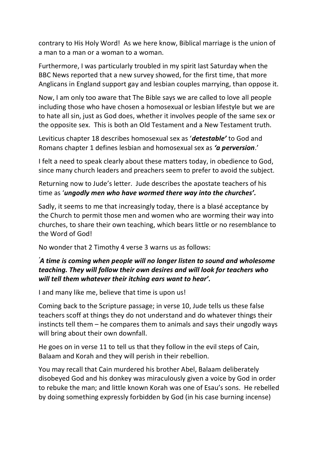contrary to His Holy Word! As we here know, Biblical marriage is the union of a man to a man or a woman to a woman.

Furthermore, I was particularly troubled in my spirit last Saturday when the BBC News reported that a new survey showed, for the first time, that more Anglicans in England support gay and lesbian couples marrying, than oppose it.

Now, I am only too aware that The Bible says we are called to love all people including those who have chosen a homosexual or lesbian lifestyle but we are to hate all sin, just as God does, whether it involves people of the same sex or the opposite sex. This is both an Old Testament and a New Testament truth.

Leviticus chapter 18 describes homosexual sex as '*detestable'* to God and Romans chapter 1 defines lesbian and homosexual sex as *'a perversion*.'

I felt a need to speak clearly about these matters today, in obedience to God, since many church leaders and preachers seem to prefer to avoid the subject.

Returning now to Jude's letter. Jude describes the apostate teachers of his time as '*ungodly men who have wormed there way into the churches'.*

Sadly, it seems to me that increasingly today, there is a blasé acceptance by the Church to permit those men and women who are worming their way into churches, to share their own teaching, which bears little or no resemblance to the Word of God!

No wonder that 2 Timothy 4 verse 3 warns us as follows:

#### *'A time is coming when people will no longer listen to sound and wholesome teaching. They will follow their own desires and will look for teachers who will tell them whatever their itching ears want to hear'.*

I and many like me, believe that time is upon us!

Coming back to the Scripture passage; in verse 10, Jude tells us these false teachers scoff at things they do not understand and do whatever things their instincts tell them – he compares them to animals and says their ungodly ways will bring about their own downfall.

He goes on in verse 11 to tell us that they follow in the evil steps of Cain, Balaam and Korah and they will perish in their rebellion.

You may recall that Cain murdered his brother Abel, Balaam deliberately disobeyed God and his donkey was miraculously given a voice by God in order to rebuke the man; and little known Korah was one of Esau's sons. He rebelled by doing something expressly forbidden by God (in his case burning incense)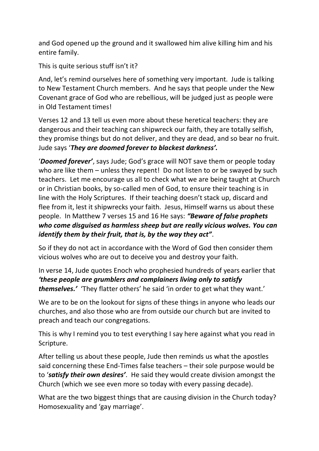and God opened up the ground and it swallowed him alive killing him and his entire family.

This is quite serious stuff isn't it?

And, let's remind ourselves here of something very important. Jude is talking to New Testament Church members. And he says that people under the New Covenant grace of God who are rebellious, will be judged just as people were in Old Testament times!

Verses 12 and 13 tell us even more about these heretical teachers: they are dangerous and their teaching can shipwreck our faith, they are totally selfish, they promise things but do not deliver, and they are dead, and so bear no fruit. Jude says '*They are doomed forever to blackest darkness'.*

'*Doomed forever'*, says Jude; God's grace will NOT save them or people today who are like them – unless they repent! Do not listen to or be swayed by such teachers. Let me encourage us all to check what we are being taught at Church or in Christian books, by so-called men of God, to ensure their teaching is in line with the Holy Scriptures. If their teaching doesn't stack up, discard and flee from it, lest it shipwrecks your faith. Jesus, Himself warns us about these people. In Matthew 7 verses 15 and 16 He says: *"Beware of false prophets who come disguised as harmless sheep but are really vicious wolves. You can identify them by their fruit, that is, by the way they act"*.

So if they do not act in accordance with the Word of God then consider them vicious wolves who are out to deceive you and destroy your faith.

In verse 14, Jude quotes Enoch who prophesied hundreds of years earlier that *'these people are grumblers and complainers living only to satisfy themselves.'* 'They flatter others' he said 'in order to get what they want.'

We are to be on the lookout for signs of these things in anyone who leads our churches, and also those who are from outside our church but are invited to preach and teach our congregations.

This is why I remind you to test everything I say here against what you read in Scripture.

After telling us about these people, Jude then reminds us what the apostles said concerning these End-Times false teachers – their sole purpose would be to '*satisfy their own desires'*. He said they would create division amongst the Church (which we see even more so today with every passing decade).

What are the two biggest things that are causing division in the Church today? Homosexuality and 'gay marriage'.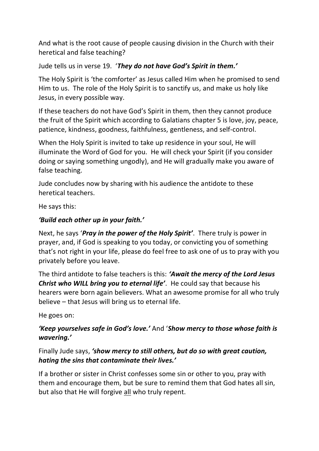And what is the root cause of people causing division in the Church with their heretical and false teaching?

Jude tells us in verse 19. '*They do not have God's Spirit in them.'* 

The Holy Spirit is 'the comforter' as Jesus called Him when he promised to send Him to us. The role of the Holy Spirit is to sanctify us, and make us holy like Jesus, in every possible way.

If these teachers do not have God's Spirit in them, then they cannot produce the fruit of the Spirit which according to Galatians chapter 5 is love, joy, peace, patience, kindness, goodness, faithfulness, gentleness, and self-control.

When the Holy Spirit is invited to take up residence in your soul, He will illuminate the Word of God for you. He will check your Spirit (if you consider doing or saying something ungodly), and He will gradually make you aware of false teaching.

Jude concludes now by sharing with his audience the antidote to these heretical teachers.

He says this:

## *'Build each other up in your faith.'*

Next, he says '*Pray in the power of the Holy Spirit'*. There truly is power in prayer, and, if God is speaking to you today, or convicting you of something that's not right in your life, please do feel free to ask one of us to pray with you privately before you leave.

The third antidote to false teachers is this: *'Await the mercy of the Lord Jesus Christ who WILL bring you to eternal life'*. He could say that because his hearers were born again believers. What an awesome promise for all who truly believe – that Jesus will bring us to eternal life.

He goes on:

## *'Keep yourselves safe in God's love.'* And '*Show mercy to those whose faith is wavering.'*

#### Finally Jude says, *'show mercy to still others, but do so with great caution, hating the sins that contaminate their lives.'*

If a brother or sister in Christ confesses some sin or other to you, pray with them and encourage them, but be sure to remind them that God hates all sin, but also that He will forgive all who truly repent.